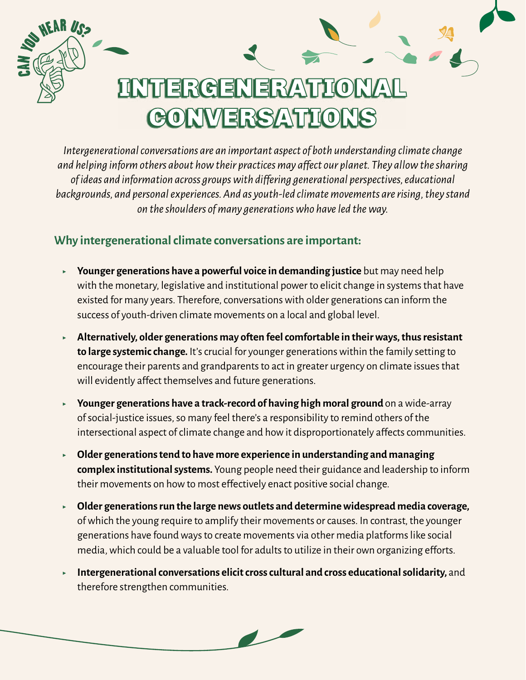## INTERGENERATIONAL **CONVERSATIONS**

*Intergenerational conversations are an important aspect of both understanding climate change and helping inform others about how their practices may affect our planet. They allow the sharing of ideas and information across groups with differing generational perspectives, educational backgrounds, and personal experiences. And as youth-led climate movements are rising, they stand on the shoulders of many generations who have led the way.*

## **Why intergenerational climate conversations are important:**

EAH *Us*s

- ▶ **Younger generations have a powerful voice in demanding justice** but may need help with the monetary, legislative and institutional power to elicit change in systems that have existed for many years. Therefore, conversations with older generations can inform the success of youth-driven climate movements on a local and global level.
- ▶ **Alternatively, older generations may often feel comfortable in their ways, thus resistant to large systemic change.** It's crucial for younger generations within the family setting to encourage their parents and grandparents to act in greater urgency on climate issues that will evidently affect themselves and future generations.
- ▶ **Younger generations have a track-record of having high moral ground** on a wide-array of social-justice issues, so many feel there's a responsibility to remind others of the intersectional aspect of climate change and how it disproportionately affects communities.
- ▶ **Older generations tend to have more experience in understanding and managing complex institutional systems.** Young people need their guidance and leadership to inform their movements on how to most effectively enact positive social change.
- ▶ **Older generations run the large news outlets and determine widespread media coverage,**  of which the young require to amplify their movements or causes. In contrast, the younger generations have found ways to create movements via other media platforms like social media, which could be a valuable tool for adults to utilize in their own organizing efforts.
- ▶ **Intergenerational conversations elicit cross cultural and cross educational solidarity,** and therefore strengthen communities.